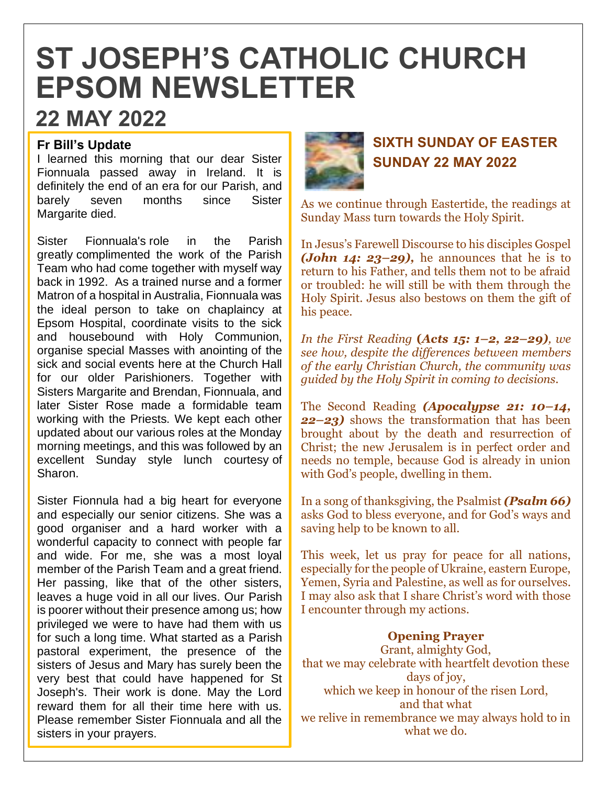# **ST JOSEPH'S CATHOLIC CHURCH EPSOM NEWSLETTER**

## **22 MAY 2022**

#### **Fr Bill's Update**

I learned this morning that our dear Sister Fionnuala passed away in Ireland. It is definitely the end of an era for our Parish, and barely seven months since Sister Margarite died.

Sister Fionnuala's role in the Parish greatly complimented the work of the Parish Team who had come together with myself way back in 1992. As a trained nurse and a former Matron of a hospital in Australia, Fionnuala was the ideal person to take on chaplaincy at Epsom Hospital, coordinate visits to the sick and housebound with Holy Communion, organise special Masses with anointing of the sick and social events here at the Church Hall for our older Parishioners. Together with Sisters Margarite and Brendan, Fionnuala, and later Sister Rose made a formidable team working with the Priests. We kept each other updated about our various roles at the Monday morning meetings, and this was followed by an excellent Sunday style lunch courtesy of Sharon.

Sister Fionnula had a big heart for everyone and especially our senior citizens. She was a good organiser and a hard worker with a wonderful capacity to connect with people far and wide. For me, she was a most loyal member of the Parish Team and a great friend. Her passing, like that of the other sisters, leaves a huge void in all our lives. Our Parish is poorer without their presence among us; how privileged we were to have had them with us for such a long time. What started as a Parish pastoral experiment, the presence of the sisters of Jesus and Mary has surely been the very best that could have happened for St Joseph's. Their work is done. May the Lord reward them for all their time here with us. Please remember Sister Fionnuala and all the sisters in your prayers.



### **SIXTH SUNDAY OF EASTER SUNDAY 22 MAY 2022**

As we continue through Eastertide, the readings at Sunday Mass turn towards the Holy Spirit.

In Jesus's Farewell Discourse to his disciples Gospel *(John 14: 23–29),* he announces that he is to return to his Father, and tells them not to be afraid or troubled: he will still be with them through the Holy Spirit. Jesus also bestows on them the gift of his peace.

*In the First Reading* **(***Acts 15: 1–2, 22–29), we see how, despite the differences between members of the early Christian Church, the community was guided by the Holy Spirit in coming to decisions.* 

The Second Reading *(Apocalypse 21: 10–14, 22–23)* shows the transformation that has been brought about by the death and resurrection of Christ; the new Jerusalem is in perfect order and needs no temple, because God is already in union with God's people, dwelling in them.

In a song of thanksgiving, the Psalmist *(Psalm 66)*  asks God to bless everyone, and for God's ways and saving help to be known to all.

This week, let us pray for peace for all nations, especially for the people of Ukraine, eastern Europe, Yemen, Syria and Palestine, as well as for ourselves. I may also ask that I share Christ's word with those I encounter through my actions.

**Opening Prayer** Grant, almighty God, that we may celebrate with heartfelt devotion these days of joy. which we keep in honour of the risen Lord, and that what we relive in remembrance we may always hold to in what we do.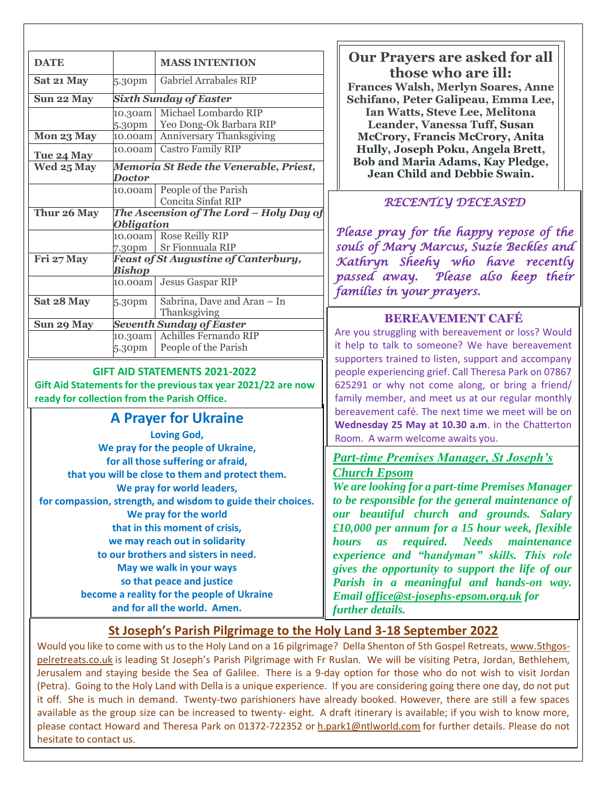| <b>DATE</b>                                                                           |                                                              | <b>MASS INTENTION</b>                       | <b>Our Prayers are asked for all</b><br>those who are ill:                                                                                                                                                           |  |
|---------------------------------------------------------------------------------------|--------------------------------------------------------------|---------------------------------------------|----------------------------------------------------------------------------------------------------------------------------------------------------------------------------------------------------------------------|--|
| Sat 21 May                                                                            | 5.30pm                                                       | Gabriel Arrabales RIP                       | <b>Frances Walsh, Merlyn Soares, Anne</b>                                                                                                                                                                            |  |
| Sun 22 May                                                                            | <b>Sixth Sunday of Easter</b>                                |                                             | Schifano, Peter Galipeau, Emma Lee,                                                                                                                                                                                  |  |
|                                                                                       | 10.30am                                                      | Michael Lombardo RIP                        | Ian Watts, Steve Lee, Melitona                                                                                                                                                                                       |  |
|                                                                                       | 5.30pm                                                       | Yeo Dong-Ok Barbara RIP                     | Leander, Vanessa Tuff, Susan                                                                                                                                                                                         |  |
| Mon 23 May                                                                            | 10.00am                                                      | Anniversary Thanksgiving                    | <b>McCrory, Francis McCrory, Anita</b>                                                                                                                                                                               |  |
| Tue 24 May                                                                            | 10.00am                                                      | <b>Castro Family RIP</b>                    | Hully, Joseph Poku, Angela Brett,                                                                                                                                                                                    |  |
| Wed 25 May                                                                            | Memoria St Bede the Venerable, Priest,<br><b>Doctor</b>      |                                             | <b>Bob and Maria Adams, Kay Pledge,</b><br>Jean Child and Debbie Swain.                                                                                                                                              |  |
|                                                                                       | 10.00am                                                      | People of the Parish<br>Concita Sinfat RIP  | RECENTLY DECEASED                                                                                                                                                                                                    |  |
| Thur 26 May<br><b>Obligation</b>                                                      |                                                              | The Ascension of The Lord - Holy Day of     |                                                                                                                                                                                                                      |  |
|                                                                                       | 10.00am                                                      | <b>Rose Reilly RIP</b>                      | Please pray for the happy repose of the                                                                                                                                                                              |  |
|                                                                                       | 7.30pm                                                       | Sr Fionnuala RIP                            | souls of Mary Marcus, Suzie Beckles and                                                                                                                                                                              |  |
| Fri 27 May                                                                            | <b>Feast of St Augustine of Canterbury,</b><br><b>Bishop</b> |                                             | Kathryn Sheehy who have recently<br>passed away. Please also keep their                                                                                                                                              |  |
|                                                                                       | 10.00am                                                      | <b>Jesus Gaspar RIP</b>                     | families in your prayers.                                                                                                                                                                                            |  |
| Sat 28 May                                                                            | 5.30pm                                                       | Sabrina, Dave and Aran - In<br>Thanksgiving |                                                                                                                                                                                                                      |  |
| Sun 29 May                                                                            |                                                              | <b>Seventh Sunday of Easter</b>             | <b>BEREAVEMENT CAFÉ</b>                                                                                                                                                                                              |  |
|                                                                                       | 10.30am                                                      | Achilles Fernando RIP                       | Are you struggling with bereavement or loss? Would                                                                                                                                                                   |  |
|                                                                                       | 5.30pm                                                       | People of the Parish                        | it help to talk to someone? We have bereavement<br>supporters trained to listen, support and accompany                                                                                                               |  |
| <b>GIFT AID STATEMENTS 2021-2022</b>                                                  |                                                              |                                             | people experiencing grief. Call Theresa Park on 07867<br>625291 or why not come along, or bring a friend/<br>family member, and meet us at our regular monthly<br>bereavement café. The next time we meet will be on |  |
| Gift Aid Statements for the previous tax year 2021/22 are now                         |                                                              |                                             |                                                                                                                                                                                                                      |  |
| ready for collection from the Parish Office.                                          |                                                              |                                             |                                                                                                                                                                                                                      |  |
| <b>A Prayer for Ukraine</b>                                                           |                                                              |                                             |                                                                                                                                                                                                                      |  |
|                                                                                       |                                                              |                                             | Wednesday 25 May at 10.30 a.m. in the Chatterton                                                                                                                                                                     |  |
| <b>Loving God,</b>                                                                    |                                                              |                                             | Room. A warm welcome awaits you.                                                                                                                                                                                     |  |
| We pray for the people of Ukraine,<br>for all those suffering or afraid,              |                                                              |                                             | <b>Part-time Premises Manager, St Joseph's</b>                                                                                                                                                                       |  |
|                                                                                       |                                                              |                                             | <b>Church Epsom</b>                                                                                                                                                                                                  |  |
| that you will be close to them and protect them.<br>We pray for world leaders,        |                                                              |                                             | We are looking for a part-time Premises Manager                                                                                                                                                                      |  |
|                                                                                       |                                                              |                                             | to be responsible for the general maintenance of                                                                                                                                                                     |  |
| for compassion, strength, and wisdom to guide their choices.<br>We pray for the world |                                                              |                                             | our beautiful church and grounds. Salary                                                                                                                                                                             |  |
| that in this moment of crisis,                                                        |                                                              |                                             | £10,000 per annum for a 15 hour week, flexible                                                                                                                                                                       |  |
|                                                                                       |                                                              |                                             | maintenance                                                                                                                                                                                                          |  |
| we may reach out in solidarity<br>to our brothers and sisters in need.                |                                                              |                                             | <i>required.</i> Needs<br><b>hours</b><br><i>as</i>                                                                                                                                                                  |  |
|                                                                                       |                                                              |                                             | experience and "handyman" skills. This role                                                                                                                                                                          |  |
| May we walk in your ways                                                              |                                                              |                                             | gives the opportunity to support the life of our                                                                                                                                                                     |  |
| so that peace and justice                                                             |                                                              |                                             | Parish in a meaningful and hands-on way.                                                                                                                                                                             |  |
| become a reality for the people of Ukraine<br>and for all the world. Amen.            |                                                              |                                             | Email office@st-josephs-epsom.org.uk for                                                                                                                                                                             |  |
|                                                                                       | further details.                                             |                                             |                                                                                                                                                                                                                      |  |
| St Joseph's Parish Pilgrimage to the Holy Land 3-18 September 2022                    |                                                              |                                             |                                                                                                                                                                                                                      |  |

Would you like to come with us to the Holy Land on a 16 pilgrimage? Della Shenton of 5th Gospel Retreats, [www.5thgos](http://www.5thgospelretreats.co.uk/)[pelretreats.co.uk](http://www.5thgospelretreats.co.uk/) is leading St Joseph's Parish Pilgrimage with Fr Ruslan. We will be visiting Petra, Jordan, Bethlehem, Jerusalem and staying beside the Sea of Galilee. There is a 9-day option for those who do not wish to visit Jordan (Petra). Going to the Holy Land with Della is a unique experience. If you are considering going there one day, do not put it off. She is much in demand. Twenty-two parishioners have already booked. However, there are still a few spaces available as the group size can be increased to twenty- eight. A draft itinerary is available; if you wish to know more, please contact Howard and Theresa Park on 01372-722352 or [h.park1@ntlworld.com](mailto:h.park1@ntlworld.com) for further details. Please do not hesitate to contact us.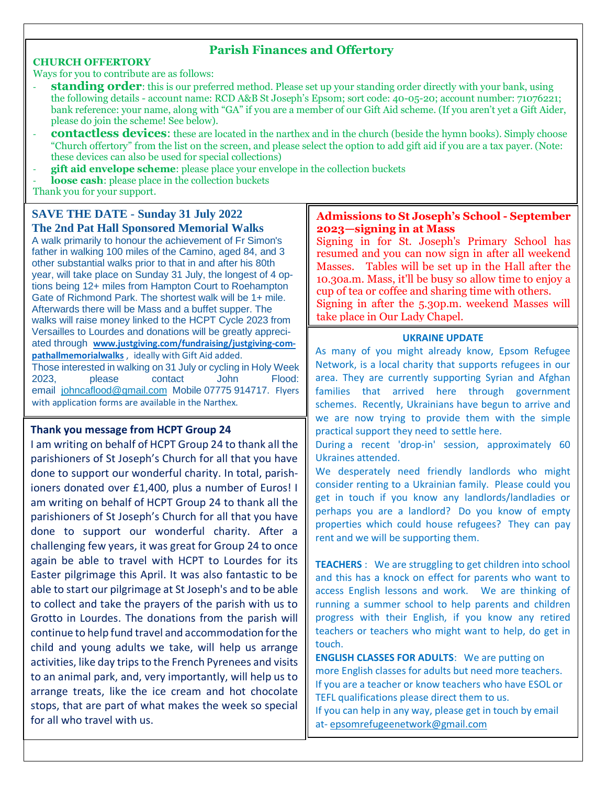#### **Parish Finances and Offertory**

#### **CHURCH OFFERTORY**

Ways for you to contribute are as follows:

- **standing order**: this is our preferred method. Please set up your standing order directly with your bank, using the following details - account name: RCD A&B St Joseph's Epsom; sort code: 40-05-20; account number: 71076221; bank reference: your name, along with "GA" if you are a member of our Gift Aid scheme. (If you aren't yet a Gift Aider, please do join the scheme! See below).
- **contactless devices**: these are located in the narthex and in the church (beside the hymn books). Simply choose "Church offertory" from the list on the screen, and please select the option to add gift aid if you are a tax payer. (Note: these devices can also be used for special collections)
- **gift aid envelope scheme**: please place your envelope in the collection buckets loose cash: please place in the collection buckets

Thank you for your support.

#### **SAVE THE DATE - Sunday 31 July 2022 The 2nd Pat Hall Sponsored Memorial Walks**

A walk primarily to honour the achievement of Fr Simon's father in walking 100 miles of the Camino, aged 84, and 3 other substantial walks prior to that in and after his 80th year, will take place on Sunday 31 July, the longest of 4 options being 12+ miles from Hampton Court to Roehampton Gate of Richmond Park. The shortest walk will be 1+ mile. Afterwards there will be Mass and a buffet supper. The walks will raise money linked to the HCPT Cycle 2023 from Versailles to Lourdes and donations will be greatly appreciated through **[www.justgiving.com/fundraising/justgiving-com](http://www.justgiving.com/fundraising/justgiving-compathallmemorialwalks)[pathallmemorialwalks](http://www.justgiving.com/fundraising/justgiving-compathallmemorialwalks)** , ideally with Gift Aid added. Those interested in walking on 31 July or cycling in Holy Week 2023, please contact John Flood:

email [johncaflood@gmail.com](mailto:johncaflood@gmail.com) Mobile 07775 914717. Flyers with application forms are available in the Narthex.

#### **Thank you message from HCPT Group 24**

I am writing on behalf of HCPT Group 24 to thank all the parishioners of St Joseph's Church for all that you have done to support our wonderful charity. In total, parishioners donated over £1,400, plus a number of Euros! I am writing on behalf of HCPT Group 24 to thank all the parishioners of St Joseph's Church for all that you have done to support our wonderful charity. After a challenging few years, it was great for Group 24 to once again be able to travel with HCPT to Lourdes for its Easter pilgrimage this April. It was also fantastic to be able to start our pilgrimage at St Joseph's and to be able to collect and take the prayers of the parish with us to Grotto in Lourdes. The donations from the parish will continue to help fund travel and accommodation for the child and young adults we take, will help us arrange activities, like day trips to the French Pyrenees and visits to an animal park, and, very importantly, will help us to arrange treats, like the ice cream and hot chocolate stops, that are part of what makes the week so special for all who travel with us.

#### **Admissions to St Joseph's School - September 2023—signing in at Mass**

Signing in for St. Joseph's Primary School has resumed and you can now sign in after all weekend Masses. Tables will be set up in the Hall after the 10.30a.m. Mass, it'll be busy so allow time to enjoy a cup of tea or coffee and sharing time with others. Signing in after the 5.30p.m. weekend Masses will take place in Our Lady Chapel.

#### **UKRAINE UPDATE**

As many of you might already know, Epsom Refugee Network, is a local charity that supports refugees in our area. They are currently supporting Syrian and Afghan families that arrived here through government schemes. Recently, Ukrainians have begun to arrive and we are now trying to provide them with the simple practical support they need to settle here.

During a recent 'drop-in' session, approximately 60 Ukraines attended.

We desperately need friendly landlords who might consider renting to a Ukrainian family. Please could you get in touch if you know any landlords/landladies or perhaps you are a landlord? Do you know of empty properties which could house refugees? They can pay rent and we will be supporting them.

**TEACHERS** : We are struggling to get children into school and this has a knock on effect for parents who want to access English lessons and work. We are thinking of running a summer school to help parents and children progress with their English, if you know any retired teachers or teachers who might want to help, do get in touch.

**ENGLISH CLASSES FOR ADULTS**: We are putting on more English classes for adults but need more teachers. If you are a teacher or know teachers who have ESOL or TEFL qualifications please direct them to us. If you can help in any way, please get in touch by email

at- [epsomrefugeenetwork@gmail.com](mailto:epsomrefugeenetwork@gmail.com)